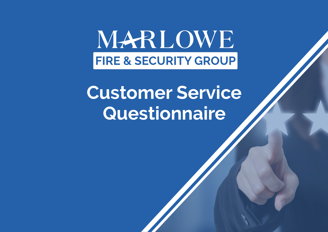MARLOWE **FIRE & SECURITY GROUP** 

# **Customer Service Questionnaire**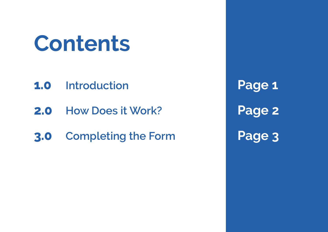# **Contents**

- **1.0 Introduction**
- **2.0 How Does it Work?**
- **3.0 Completing the Form**

**Page 1 Page 2 Page 3**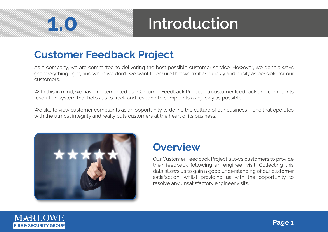# **1.0**

#### **Introduction**

#### **Customer Feedback Project**

As a company, we are committed to delivering the best possible customer service. However, we don't always get everything right, and when we don't, we want to ensure that we fix it as quickly and easily as possible for our customers.

With this in mind, we have implemented our Customer Feedback Project – a customer feedback and complaints resolution system that helps us to track and respond to complaints as quickly as possible.

We like to view customer complaints as an opportunity to define the culture of our business - one that operates with the utmost integrity and really puts customers at the heart of its business.



#### **Overview**

Our Customer Feedback Project allows customers to provide their feedback following an engineer visit. Collecting this data allows us to gain a good understanding of our customer satisfaction, whilst providing us with the opportunity to resolve any unsatisfactory engineer visits.

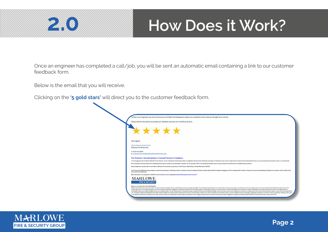

#### **2.0 How Does it Work?**

Once an engineer has completed a call/job, you will be sent an automatic email containing a link to our customer feedback form.

Below is the email that you will receive.

Clicking on the **'5 gold stars'** will direct you to the customer feedback form.

| Further to our Engineers site visit to Service your Portable Fire Extinguishers System we would like to hear what you thought of our service.<br>Please click the stars below to provide your feedback and enter our monthly prize draw. |
|------------------------------------------------------------------------------------------------------------------------------------------------------------------------------------------------------------------------------------------|
|                                                                                                                                                                                                                                          |
|                                                                                                                                                                                                                                          |
| *****                                                                                                                                                                                                                                    |
|                                                                                                                                                                                                                                          |
|                                                                                                                                                                                                                                          |
| Kind regards                                                                                                                                                                                                                             |
|                                                                                                                                                                                                                                          |
| The Customer Service Teams                                                                                                                                                                                                               |
| Marlowe Fire & Security                                                                                                                                                                                                                  |
| t. 0333 010 2000                                                                                                                                                                                                                         |
| e, customer, service@marlowefireandsecurity.com                                                                                                                                                                                          |
| Fire Protection   Security Systems   Connected Services   Compliance                                                                                                                                                                     |
| This message was sent on behalf of Martowe Fire & Security. You are receiving this email because there is a legitimate interest and the information provided is of relevance to you. If you no longer wish to receive email co           |
| We are pleased to announce that we are expanding and moving our location to accommodate our growth. Our new premises offer us the opportunity to better serve our loyal customers and work with our valuable business partners           |
| Please update your records with our new address: Mariowe Fire & Security, Lowry House, 5 Ohio Avenue, Salford Quays, Greater Manchester, M50 207                                                                                         |
| Our Division and all Markowe Group companies remain fully operational, continuing to keep our customers safe and compliant with their essential safety. health & compliance obligations. We have implemented a number of measu           |
| carry out their sysential work.<br>More information on our approach to COVID-13 can be found here or by visiting https://www.martinewgroup.com/connex/eys/                                                                               |
|                                                                                                                                                                                                                                          |
| <b>MARLOWE</b>                                                                                                                                                                                                                           |
| <b>FIRE &amp; SECURITY</b>                                                                                                                                                                                                               |
| Sefore you print think about the ENVIRONMENT.                                                                                                                                                                                            |
|                                                                                                                                                                                                                                          |

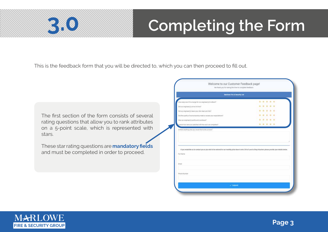# **3.0 Completing the Form**

This is the feedback form that you will be directed to, which you can then proceed to fill out.

The first section of the form consists of several rating questions that allow you to rank attributes on a 5-point scale, which is represented with stars.

These star rating questions are **mandatory fields**  and must be completed in order to proceed.

| Marlowe Fire & Security Ltd.                                                                                                                                      |                  |  |  |
|-------------------------------------------------------------------------------------------------------------------------------------------------------------------|------------------|--|--|
| How easy was it to arrange for our engineer(s) to attend?                                                                                                         | * * * * *        |  |  |
| Did our engineer(s) arrive on time?                                                                                                                               | $-0.16$          |  |  |
| Did our engineer(s) leave your site clean and bdy?                                                                                                                | ÷<br>٠<br>$\sim$ |  |  |
| Did the quality of workmanship meet or exceed your expectations?                                                                                                  | ÷                |  |  |
| Yas our engineer(s) polite and courteous?                                                                                                                         | .<br>÷           |  |  |
| Overall how were you satisfied with the work we completed?                                                                                                        | 女 有 世            |  |  |
| Is there anything into you would like to let us know?                                                                                                             |                  |  |  |
| If you would like us to contact you or you wish to be entered for our monthly prize draw to win it 50 of Lave to Shop Vouchers please provide your details below. |                  |  |  |
|                                                                                                                                                                   |                  |  |  |
| Full Norter<br>Email                                                                                                                                              |                  |  |  |

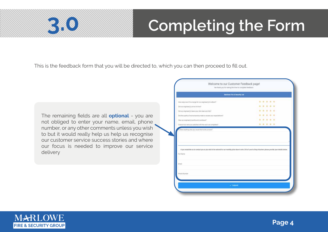### *Completing the Form*

This is the feedback form that you will be directed to, which you can then proceed to fill out.

The remaining fields are all **optional** - you are not obliged to enter your name, email, phone number, or any other comments unless you wish to but it would really help us help us recognise our customer service success stories and where our focus is needed to improve our service delivery

| Marlowe Fire & Security Ltd.                                                                                                                                     |                   |  |  |  |
|------------------------------------------------------------------------------------------------------------------------------------------------------------------|-------------------|--|--|--|
| How easy was it to arrange for our engineer(s) to attend?                                                                                                        | ٠<br>۰<br>☆ ☆ ☆   |  |  |  |
| Did our engineer(s) arrive on time?                                                                                                                              | $-0.16$<br>٠<br>÷ |  |  |  |
| Did our engineer(s) leave your site clean and bdy?                                                                                                               |                   |  |  |  |
| Did the quality of workmanship meet or exceed your expectations?                                                                                                 |                   |  |  |  |
| Was our engineer(s) polite and crusteous?                                                                                                                        |                   |  |  |  |
| Overall how were you satisfied with the work we completed?                                                                                                       | 新一度<br>★ 有 ●      |  |  |  |
| Toronta and the will blook ups axis printers erent in                                                                                                            |                   |  |  |  |
| If you would like us to contact you or you wish to be entered for our monthly prize draw to win ( 50 of Lave to Shop Vouchers please provide your details below. |                   |  |  |  |
|                                                                                                                                                                  |                   |  |  |  |
| Full Nartie<br>Email                                                                                                                                             |                   |  |  |  |

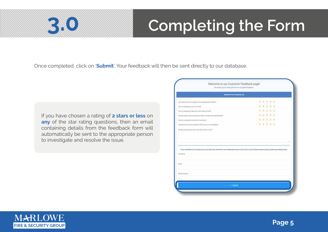### *Completing the Form*

Once completed, click on '**Submit**'. Your feedback will then be sent directly to our database.

If you have chosen a rating of **2 stars or less** on **any** of the star rating questions, then an email containing details from the feedback form will automatically be sent to the appropriate person to investigate and resolve the issue.

| Marlowe Fire & Security Ltd.                                                                                                                                                     |                             |
|----------------------------------------------------------------------------------------------------------------------------------------------------------------------------------|-----------------------------|
| How easy was it to arrange for our engineer(s) to attend?                                                                                                                        | ۰<br>٠<br><b>10 10</b><br>٠ |
| Did our engineer(s) arrive on time?                                                                                                                                              | ÷<br>0 0 0<br>۰             |
| Did our engineer(s) leave your site clean and bity?                                                                                                                              | ٠                           |
| Did the quality of worksmanship meet or exceed your expectations?                                                                                                                | ٠<br>÷<br>÷<br>÷            |
| Was our engineer(s) polite and courteous?                                                                                                                                        | $\rightarrow$<br>.<br>٠.    |
| Overall how were you satisfied with the work we completed?                                                                                                                       | * * * * *                   |
| Is there anything also you would like to let us know?                                                                                                                            |                             |
| If you would like us to contact you or you wish to be entered for our monthly prize draw to win it 50 of Lave to Shop Vouchers please provide your details below.<br>Full Nartie |                             |
| Email                                                                                                                                                                            |                             |
| Phone Number                                                                                                                                                                     |                             |